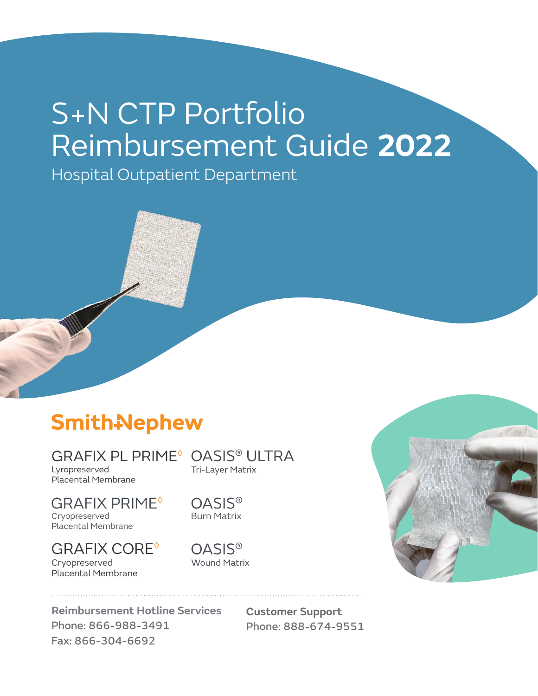# S+N CTP Portfolio Reimbursement Guide **2022**

Hospital Outpatient Department

# **Smith-Nephew**

Lyropreserved Placental Membrane

GRAFIX PRIME<sup>®</sup> Cryopreserved Cryopreserved Placental Membrane Placental Membrane

GRAFIX CORE◊ Cryopreserved Placental Membrane

GRAFIX PL PRIME<sup>®</sup> OASIS<sup>®</sup> ULTRA Tri-Layer Matrix

> **OASIS®** Burn Matrix

**OASIS® Wound Matrix** 

**Reimbursement Hotline Services** Phone: 866-988-3491 Fax: 866-304-6692

**Customer Support** Phone: 888-674-9551

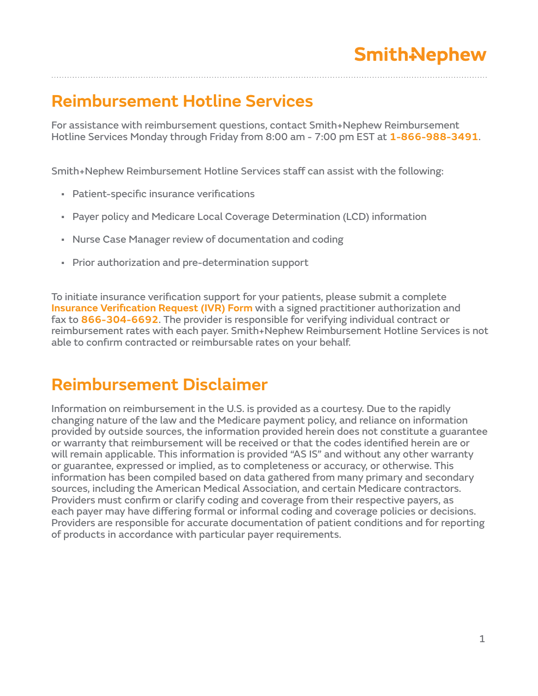### **Reimbursement Hotline Services**

For assistance with reimbursement questions, contact Smith+Nephew Reimbursement Hotline Services Monday through Friday from 8:00 am - 7:00 pm EST at **1-866-988-3491**.

Smith+Nephew Reimbursement Hotline Services staff can assist with the following:

- Patient-specific insurance verifications
- Payer policy and Medicare Local Coverage Determination (LCD) information
- Nurse Case Manager review of documentation and coding
- Prior authorization and pre-determination support

To initiate insurance verification support for your patients, please submit a complete **Insurance Verification Request (IVR) Form** with a signed practitioner authorization and fax to **866-304-6692**. The provider is responsible for verifying individual contract or reimbursement rates with each payer. Smith+Nephew Reimbursement Hotline Services is not able to confirm contracted or reimbursable rates on your behalf.

#### **Reimbursement Disclaimer**

Information on reimbursement in the U.S. is provided as a courtesy. Due to the rapidly changing nature of the law and the Medicare payment policy, and reliance on information provided by outside sources, the information provided herein does not constitute a guarantee or warranty that reimbursement will be received or that the codes identified herein are or will remain applicable. This information is provided "AS IS" and without any other warranty or guarantee, expressed or implied, as to completeness or accuracy, or otherwise. This information has been compiled based on data gathered from many primary and secondary sources, including the American Medical Association, and certain Medicare contractors. Providers must confirm or clarify coding and coverage from their respective payers, as each payer may have differing formal or informal coding and coverage policies or decisions. Providers are responsible for accurate documentation of patient conditions and for reporting of products in accordance with particular payer requirements.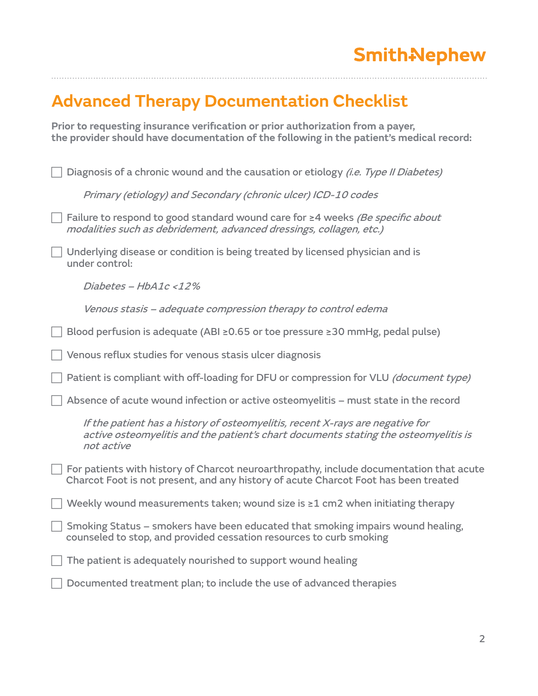### **Advanced Therapy Documentation Checklist**

**Prior to requesting insurance verification or prior authorization from a payer, the provider should have documentation of the following in the patient's medical record:**

| Diagnosis of a chronic wound and the causation or etiology <i>(i.e. Type II Diabetes)</i>                                                                                          |
|------------------------------------------------------------------------------------------------------------------------------------------------------------------------------------|
| Primary (etiology) and Secondary (chronic ulcer) ICD-10 codes                                                                                                                      |
| Failure to respond to good standard wound care for ≥4 weeks (Be specific about<br>modalities such as debridement, advanced dressings, collagen, etc.)                              |
| Underlying disease or condition is being treated by licensed physician and is<br>under control:                                                                                    |
| Diabetes - HbA1c <12%                                                                                                                                                              |
| Venous stasis – adequate compression therapy to control edema                                                                                                                      |
| Blood perfusion is adequate (ABI ≥0.65 or toe pressure ≥30 mmHg, pedal pulse)                                                                                                      |
| Venous reflux studies for venous stasis ulcer diagnosis                                                                                                                            |
| Patient is compliant with off-loading for DFU or compression for VLU (document type)                                                                                               |
| Absence of acute wound infection or active osteomyelitis - must state in the record                                                                                                |
| If the patient has a history of osteomyelitis, recent X-rays are negative for<br>active osteomyelitis and the patient's chart documents stating the osteomyelitis is<br>not active |
| For patients with history of Charcot neuroarthropathy, include documentation that acute<br>Charcot Foot is not present, and any history of acute Charcot Foot has been treated     |
| Weekly wound measurements taken; wound size is ≥1 cm2 when initiating therapy                                                                                                      |
| Smoking Status - smokers have been educated that smoking impairs wound healing,<br>counseled to stop, and provided cessation resources to curb smoking                             |
| The patient is adequately nourished to support wound healing                                                                                                                       |
| Documented treatment plan; to include the use of advanced therapies                                                                                                                |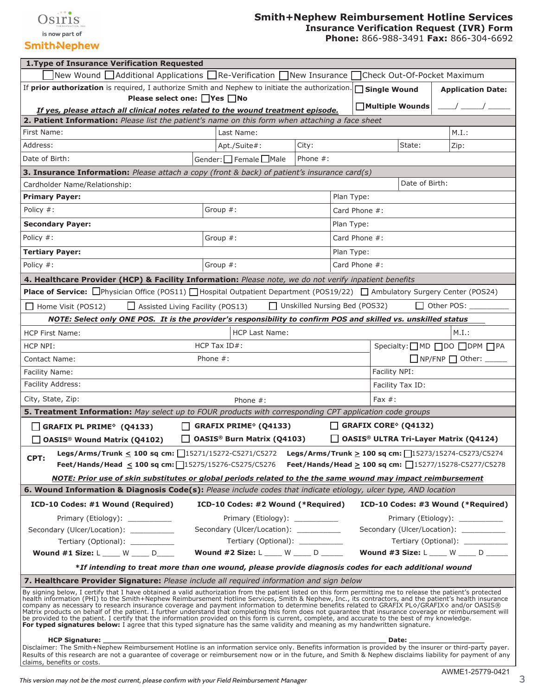

#### **SmithAlephew**

#### **Smith+Nephew Reimbursement Hotline Services Insurance Verification Request (IVR) Form**

**Phone:** 866-988-3491 **Fax:** 866-304-6692

| 1. Type of Insurance Verification Requested                                                                                                                                                                                                                                                                                                                                                                                                                                                                                                                                                                                                                                                                                                                                                                                                                                                                                                         |                                  |               |                                              |                                                                           |
|-----------------------------------------------------------------------------------------------------------------------------------------------------------------------------------------------------------------------------------------------------------------------------------------------------------------------------------------------------------------------------------------------------------------------------------------------------------------------------------------------------------------------------------------------------------------------------------------------------------------------------------------------------------------------------------------------------------------------------------------------------------------------------------------------------------------------------------------------------------------------------------------------------------------------------------------------------|----------------------------------|---------------|----------------------------------------------|---------------------------------------------------------------------------|
| New Wound $\Box$ Additional Applications $\Box$ Re-Verification $\Box$ New Insurance                                                                                                                                                                                                                                                                                                                                                                                                                                                                                                                                                                                                                                                                                                                                                                                                                                                                |                                  |               | Check Out-Of-Pocket Maximum                  |                                                                           |
| If prior authorization is required, I authorize Smith and Nephew to initiate the authorization.                                                                                                                                                                                                                                                                                                                                                                                                                                                                                                                                                                                                                                                                                                                                                                                                                                                     |                                  |               | $\Box$ Single Wound                          | <b>Application Date:</b>                                                  |
| Please select one: □Yes □No                                                                                                                                                                                                                                                                                                                                                                                                                                                                                                                                                                                                                                                                                                                                                                                                                                                                                                                         |                                  |               | Multiple Wounds                              |                                                                           |
| If yes, please attach all clinical notes related to the wound treatment episode.                                                                                                                                                                                                                                                                                                                                                                                                                                                                                                                                                                                                                                                                                                                                                                                                                                                                    |                                  |               |                                              |                                                                           |
| 2. Patient Information: Please list the patient's name on this form when attaching a face sheet<br>Last Name:<br>First Name:                                                                                                                                                                                                                                                                                                                                                                                                                                                                                                                                                                                                                                                                                                                                                                                                                        |                                  |               |                                              | M.I.:                                                                     |
| Address:<br>Apt./Suite#:                                                                                                                                                                                                                                                                                                                                                                                                                                                                                                                                                                                                                                                                                                                                                                                                                                                                                                                            | City:                            |               | State:                                       | Zip:                                                                      |
| Date of Birth:                                                                                                                                                                                                                                                                                                                                                                                                                                                                                                                                                                                                                                                                                                                                                                                                                                                                                                                                      | Phone #:                         |               |                                              |                                                                           |
| Gender: Female □Male                                                                                                                                                                                                                                                                                                                                                                                                                                                                                                                                                                                                                                                                                                                                                                                                                                                                                                                                |                                  |               |                                              |                                                                           |
| <b>3. Insurance Information:</b> Please attach a copy (front & back) of patient's insurance card(s)                                                                                                                                                                                                                                                                                                                                                                                                                                                                                                                                                                                                                                                                                                                                                                                                                                                 |                                  |               | Date of Birth:                               |                                                                           |
| Cardholder Name/Relationship:                                                                                                                                                                                                                                                                                                                                                                                                                                                                                                                                                                                                                                                                                                                                                                                                                                                                                                                       |                                  |               |                                              |                                                                           |
| <b>Primary Payer:</b>                                                                                                                                                                                                                                                                                                                                                                                                                                                                                                                                                                                                                                                                                                                                                                                                                                                                                                                               |                                  | Plan Type:    |                                              |                                                                           |
| Group $#$ :<br>Policy #:                                                                                                                                                                                                                                                                                                                                                                                                                                                                                                                                                                                                                                                                                                                                                                                                                                                                                                                            |                                  | Card Phone #: |                                              |                                                                           |
| <b>Secondary Payer:</b>                                                                                                                                                                                                                                                                                                                                                                                                                                                                                                                                                                                                                                                                                                                                                                                                                                                                                                                             |                                  | Plan Type:    |                                              |                                                                           |
| Policy #:<br>Group $#$ :                                                                                                                                                                                                                                                                                                                                                                                                                                                                                                                                                                                                                                                                                                                                                                                                                                                                                                                            |                                  | Card Phone #: |                                              |                                                                           |
| <b>Tertiary Payer:</b>                                                                                                                                                                                                                                                                                                                                                                                                                                                                                                                                                                                                                                                                                                                                                                                                                                                                                                                              |                                  | Plan Type:    |                                              |                                                                           |
| Policy #:<br>Group $#$ :                                                                                                                                                                                                                                                                                                                                                                                                                                                                                                                                                                                                                                                                                                                                                                                                                                                                                                                            |                                  | Card Phone #: |                                              |                                                                           |
| 4. Healthcare Provider (HCP) & Facility Information: Please note, we do not verify inpatient benefits                                                                                                                                                                                                                                                                                                                                                                                                                                                                                                                                                                                                                                                                                                                                                                                                                                               |                                  |               |                                              |                                                                           |
| Place of Service: <b>O</b> Physician Office (POS11)   Hospital Outpatient Department (POS19/22)   Ambulatory Surgery Center (POS24)                                                                                                                                                                                                                                                                                                                                                                                                                                                                                                                                                                                                                                                                                                                                                                                                                 |                                  |               |                                              |                                                                           |
| $\Box$ Home Visit (POS12)<br>$\Box$ Assisted Living Facility (POS13)                                                                                                                                                                                                                                                                                                                                                                                                                                                                                                                                                                                                                                                                                                                                                                                                                                                                                | □ Unskilled Nursing Bed (POS32)  |               |                                              | $\Box$ Other POS:                                                         |
| NOTE: Select only ONE POS. It is the provider's responsibility to confirm POS and skilled vs. unskilled status                                                                                                                                                                                                                                                                                                                                                                                                                                                                                                                                                                                                                                                                                                                                                                                                                                      |                                  |               |                                              |                                                                           |
| <b>HCP Last Name:</b><br><b>HCP First Name:</b>                                                                                                                                                                                                                                                                                                                                                                                                                                                                                                                                                                                                                                                                                                                                                                                                                                                                                                     |                                  |               |                                              | M.I.:                                                                     |
| HCP Tax ID#:<br>HCP NPI:                                                                                                                                                                                                                                                                                                                                                                                                                                                                                                                                                                                                                                                                                                                                                                                                                                                                                                                            |                                  |               |                                              | Specialty: OMD OD ODPM OPA                                                |
| Contact Name:<br>Phone $#$ :                                                                                                                                                                                                                                                                                                                                                                                                                                                                                                                                                                                                                                                                                                                                                                                                                                                                                                                        |                                  |               |                                              | $\Box$ NP/FNP $\Box$ Other:                                               |
| Facility Name:                                                                                                                                                                                                                                                                                                                                                                                                                                                                                                                                                                                                                                                                                                                                                                                                                                                                                                                                      |                                  |               | Facility NPI:                                |                                                                           |
| Facility Address:                                                                                                                                                                                                                                                                                                                                                                                                                                                                                                                                                                                                                                                                                                                                                                                                                                                                                                                                   |                                  |               | Facility Tax ID:                             |                                                                           |
| City, State, Zip:<br>Phone $#$ :                                                                                                                                                                                                                                                                                                                                                                                                                                                                                                                                                                                                                                                                                                                                                                                                                                                                                                                    |                                  |               | Fax $#$ :                                    |                                                                           |
| 5. Treatment Information: May select up to FOUR products with corresponding CPT application code groups                                                                                                                                                                                                                                                                                                                                                                                                                                                                                                                                                                                                                                                                                                                                                                                                                                             |                                  |               |                                              |                                                                           |
| <b>GRAFIX PRIME<sup>®</sup> (Q4133)</b><br>$\Box$ GRAFIX PL PRIME <sup><math>\diamond</math></sup> (Q4133)                                                                                                                                                                                                                                                                                                                                                                                                                                                                                                                                                                                                                                                                                                                                                                                                                                          |                                  |               | <b>GRAFIX CORE<sup>®</sup> (Q4132)</b>       |                                                                           |
| <b>OASIS® Burn Matrix (Q4103)</b><br>$\Box$ OASIS <sup>®</sup> Wound Matrix (Q4102)                                                                                                                                                                                                                                                                                                                                                                                                                                                                                                                                                                                                                                                                                                                                                                                                                                                                 |                                  | $\mathsf{L}$  | <b>OASIS® ULTRA Tri-Layer Matrix (Q4124)</b> |                                                                           |
| Legs/Arms/Trunk < 100 sq cm: $\lceil$ 15271/15272-C5271/C5272 Legs/Arms/Trunk > 100 sq cm: $\lceil$ 15273/15274-C5273/C5274                                                                                                                                                                                                                                                                                                                                                                                                                                                                                                                                                                                                                                                                                                                                                                                                                         |                                  |               |                                              |                                                                           |
| CPT:<br>Feet/Hands/Head $\leq$ 100 sq cm: 15275/15276-C5275/C5276 Feet/Hands/Head $\geq$ 100 sq cm: 15277/15278-C5277/C5278                                                                                                                                                                                                                                                                                                                                                                                                                                                                                                                                                                                                                                                                                                                                                                                                                         |                                  |               |                                              |                                                                           |
| NOTE: Prior use of skin substitutes or global periods related to the the same wound may impact reimbursement                                                                                                                                                                                                                                                                                                                                                                                                                                                                                                                                                                                                                                                                                                                                                                                                                                        |                                  |               |                                              |                                                                           |
| 6. Wound Information & Diagnosis Code(s): Please include codes that indicate etiology, ulcer type, AND location                                                                                                                                                                                                                                                                                                                                                                                                                                                                                                                                                                                                                                                                                                                                                                                                                                     |                                  |               |                                              |                                                                           |
| ICD-10 Codes: #1 Wound (Required)<br>ICD-10 Codes: #2 Wound (*Required)                                                                                                                                                                                                                                                                                                                                                                                                                                                                                                                                                                                                                                                                                                                                                                                                                                                                             |                                  |               |                                              | ICD-10 Codes: #3 Wound (*Required)                                        |
|                                                                                                                                                                                                                                                                                                                                                                                                                                                                                                                                                                                                                                                                                                                                                                                                                                                                                                                                                     |                                  |               |                                              |                                                                           |
| Primary (Etiology):<br>Secondary (Ulcer/Location): ___________<br>Secondary (Ulcer/Location):                                                                                                                                                                                                                                                                                                                                                                                                                                                                                                                                                                                                                                                                                                                                                                                                                                                       | Primary (Etiology):              |               |                                              | Primary (Etiology): __________<br>Secondary (Ulcer/Location): ___________ |
| Tertiary (Optional): ___________                                                                                                                                                                                                                                                                                                                                                                                                                                                                                                                                                                                                                                                                                                                                                                                                                                                                                                                    | Tertiary (Optional): ___________ |               |                                              | Tertiary (Optional): ____________                                         |
| Wound $\#2$ Size: $L$ W D<br>Wound #1 Size: L W D D                                                                                                                                                                                                                                                                                                                                                                                                                                                                                                                                                                                                                                                                                                                                                                                                                                                                                                 |                                  |               |                                              | Wound #3 Size: L ____ W ____ D _____                                      |
| *If intending to treat more than one wound, please provide diagnosis codes for each additional wound                                                                                                                                                                                                                                                                                                                                                                                                                                                                                                                                                                                                                                                                                                                                                                                                                                                |                                  |               |                                              |                                                                           |
| 7. Healthcare Provider Signature: Please include all required information and sign below                                                                                                                                                                                                                                                                                                                                                                                                                                                                                                                                                                                                                                                                                                                                                                                                                                                            |                                  |               |                                              |                                                                           |
| By signing below, I certify that I have obtained a valid authorization from the patient listed on this form permitting me to release the patient's protected<br>health information (PHI) to the Smith+Nephew Reimbursement Hotline Services, Smith & Nephew, Inc., its contractors, and the patient's health insurance<br>company as necessary to research insurance coverage and payment information to determine benefits related to GRAFIX PLO/GRAFIX and/or OASIS®<br>Matrix products on behalf of the patient. I further understand that completing this form does not guarantee that insurance coverage or reimbursement will<br>be provided to the patient. I certify that the information provided on this form is current, complete, and accurate to the best of my knowledge.<br>For typed signatures below: I agree that this typed signature has the same validity and meaning as my handwritten signature.<br>HCP Signature: _________ |                                  |               | Date: _______                                |                                                                           |
| Disclaimer: The Smith+Nephew Reimbursement Hotline is an information service only. Benefits information is provided by the insurer or third-party payer.<br>Results of this research are not a quarantee of coverage or reimbursement now or in the future, and Smith & Nephew disclaims liability for payment of any<br>claims, benefits or costs.                                                                                                                                                                                                                                                                                                                                                                                                                                                                                                                                                                                                 |                                  |               |                                              |                                                                           |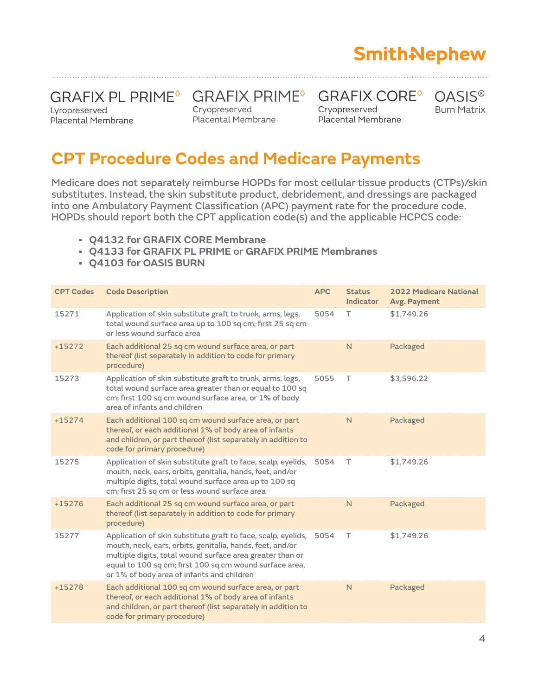# **Smith-Nephew**

### GRAFIX PL PRIME® GRAFIX PRIME® GRAFIX CORE®

Lyropreserved Placental Membrane Cryopreserved Cryopreserved Placental Membrane Placental Membrane Cryopreserved Placental Membrane Burn Matrix

#### **CPT Procedure Codes and Medicare Payments**

Medicare does not separately reimburse HOPDs for most cellular tissue products (CTPs)/skin substitutes. Instead, the skin substitute product, debridement, and dressings are packaged into one Ambulatory Payment Classification (APC) payment rate for the procedure code. HOPDs should report both the CPT application code(s) and the applicable HCPCS code:

- **• Q4132 for GRAFIX CORE Membrane**
- **• Q4133 for GRAFIX PL PRIME** or **GRAFIX PRIME Membranes**
- **• Q4103 for OASIS BURN**

| <b>CPT Codes</b> | <b>Code Description</b>                                                                                                                                                                                                                                                                          | <b>APC</b> | <b>Status</b><br><b>Indicator</b> | <b>2022 Medicare National</b><br>Avg. Payment |
|------------------|--------------------------------------------------------------------------------------------------------------------------------------------------------------------------------------------------------------------------------------------------------------------------------------------------|------------|-----------------------------------|-----------------------------------------------|
| 15271            | Application of skin substitute graft to trunk, arms, legs,<br>total wound surface area up to 100 sq cm; first 25 sq cm<br>or less wound surface area                                                                                                                                             | 5054       | Τ                                 | \$1,749.26                                    |
| $+15272$         | Each additional 25 sq cm wound surface area, or part<br>thereof (list separately in addition to code for primary<br>procedure)                                                                                                                                                                   |            | N                                 | Packaged                                      |
| 15273            | Application of skin substitute graft to trunk, arms, legs,<br>total wound surface area greater than or equal to 100 sq<br>cm; first 100 sq cm wound surface area, or 1% of body<br>area of infants and children                                                                                  | 5055       | Τ                                 | \$3,596.22                                    |
| $+15274$         | Each additional 100 sq cm wound surface area, or part<br>thereof, or each additional 1% of body area of infants<br>and children, or part thereof (list separately in addition to<br>code for primary procedure)                                                                                  |            | N.                                | Packaged                                      |
| 15275            | Application of skin substitute graft to face, scalp, eyelids,<br>mouth, neck, ears, orbits, genitalia, hands, feet, and/or<br>multiple digits, total wound surface area up to 100 sq<br>cm; first 25 sq cm or less wound surface area                                                            | 5054       | T                                 | \$1,749.26                                    |
| $+15276$         | Each additional 25 sq cm wound surface area, or part<br>thereof (list separately in addition to code for primary<br>procedure)                                                                                                                                                                   |            | N                                 | Packaged                                      |
| 15277            | Application of skin substitute graft to face, scalp, eyelids,<br>mouth, neck, ears, orbits, genitalia, hands, feet, and/or<br>multiple digits, total wound surface area greater than or<br>equal to 100 sq cm; first 100 sq cm wound surface area,<br>or 1% of body area of infants and children | 5054       | T.                                | \$1,749.26                                    |
| $+15278$         | Each additional 100 sq cm wound surface area, or part<br>thereof, or each additional 1% of body area of infants<br>and children, or part thereof (list separately in addition to<br>code for primary procedure)                                                                                  |            | N                                 | Packaged                                      |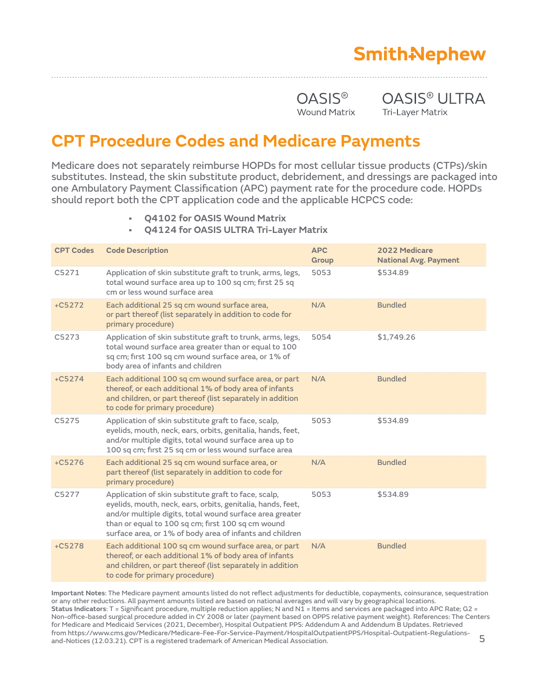# **Smith-Nephew**

OASIS<sup>®</sup> OASIS<sup>®</sup> ULTRA Wound Matrix Tri-Layer Matrix

#### **CPT Procedure Codes and Medicare Payments**

Medicare does not separately reimburse HOPDs for most cellular tissue products (CTPs)/skin substitutes. Instead, the skin substitute product, debridement, and dressings are packaged into one Ambulatory Payment Classification (APC) payment rate for the procedure code. HOPDs should report both the CPT application code and the applicable HCPCS code:

- **• Q4102 for OASIS Wound Matrix**
- **• Q4124 for OASIS ULTRA Tri-Layer Matrix**

| <b>CPT Codes</b>                                                                                                                                                                                                                                                                              | <b>Code Description</b>                                                                                                                                                                                                                                                                          | <b>APC</b><br>Group | 2022 Medicare<br><b>National Avg. Payment</b> |
|-----------------------------------------------------------------------------------------------------------------------------------------------------------------------------------------------------------------------------------------------------------------------------------------------|--------------------------------------------------------------------------------------------------------------------------------------------------------------------------------------------------------------------------------------------------------------------------------------------------|---------------------|-----------------------------------------------|
| C5271                                                                                                                                                                                                                                                                                         | Application of skin substitute graft to trunk, arms, legs,<br>total wound surface area up to 100 sq cm; first 25 sq<br>cm or less wound surface area                                                                                                                                             | 5053                | \$534.89                                      |
| $+C5272$                                                                                                                                                                                                                                                                                      | Each additional 25 sq cm wound surface area,<br>or part thereof (list separately in addition to code for<br>primary procedure)                                                                                                                                                                   | N/A                 | <b>Bundled</b>                                |
| Application of skin substitute graft to trunk, arms, legs,<br>C5273<br>total wound surface area greater than or equal to 100<br>sq cm; first 100 sq cm wound surface area, or 1% of<br>body area of infants and children<br>$+C5274$<br>Each additional 100 sq cm wound surface area, or part |                                                                                                                                                                                                                                                                                                  | 5054                | \$1,749.26                                    |
| thereof, or each additional 1% of body area of infants<br>and children, or part thereof (list separately in addition<br>to code for primary procedure)                                                                                                                                        |                                                                                                                                                                                                                                                                                                  | N/A                 | <b>Bundled</b>                                |
| C5275<br>Application of skin substitute graft to face, scalp,<br>eyelids, mouth, neck, ears, orbits, genitalia, hands, feet,<br>and/or multiple digits, total wound surface area up to<br>100 sq cm; first 25 sq cm or less wound surface area                                                |                                                                                                                                                                                                                                                                                                  | 5053                | \$534.89                                      |
| $+C5276$                                                                                                                                                                                                                                                                                      | Each additional 25 sq cm wound surface area, or<br>part thereof (list separately in addition to code for<br>primary procedure)                                                                                                                                                                   | N/A                 | <b>Bundled</b>                                |
| C5277                                                                                                                                                                                                                                                                                         | Application of skin substitute graft to face, scalp,<br>eyelids, mouth, neck, ears, orbits, genitalia, hands, feet,<br>and/or multiple digits, total wound surface area greater<br>than or equal to 100 sq cm; first 100 sq cm wound<br>surface area, or 1% of body area of infants and children | 5053                | \$534.89                                      |
| $+C5278$                                                                                                                                                                                                                                                                                      | Each additional 100 sq cm wound surface area, or part<br>thereof, or each additional 1% of body area of infants<br>and children, or part thereof (list separately in addition<br>to code for primary procedure)                                                                                  | N/A                 | <b>Bundled</b>                                |

**Important Notes**: The Medicare payment amounts listed do not reflect adjustments for deductible, copayments, coinsurance, sequestration or any other reductions. All payment amounts listed are based on national averages and will vary by geographical locations. Status Indicators: T = Significant procedure, multiple reduction applies; N and N1 = Items and services are packaged into APC Rate; G2 = Non-office-based surgical procedure added in CY 2008 or later (payment based on OPPS relative payment weight). References: The Centers for Medicare and Medicaid Services (2021, December), Hospital Outpatient PPS: Addendum A and Addendum B Updates. Retrieved from https://www.cms.gov/Medicare/Medicare-Fee-For-Service-Payment/HospitalOutpatientPPS/Hospital-Outpatient-Regulationsand-Notices (12.03.21). CPT is a registered trademark of American Medical Association. 5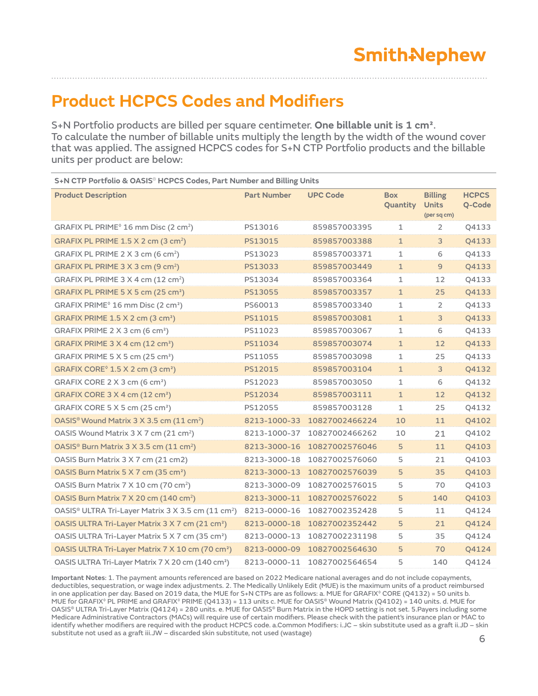### **Product HCPCS Codes and Modifiers**

S+N Portfolio products are billed per square centimeter. **One billable unit is 1 cm²**. To calculate the number of billable units multiply the length by the width of the wound cover that was applied. The assigned HCPCS codes for S+N CTP Portfolio products and the billable units per product are below:

| S+N CTP Portfolio & OASIS® HCPCS Codes, Part Number and Billing Units      |                    |                 |                        |                                               |                        |
|----------------------------------------------------------------------------|--------------------|-----------------|------------------------|-----------------------------------------------|------------------------|
| <b>Product Description</b>                                                 | <b>Part Number</b> | <b>UPC Code</b> | <b>Box</b><br>Quantity | <b>Billing</b><br><b>Units</b><br>(per sq cm) | <b>HCPCS</b><br>Q-Code |
| GRAFIX PL PRIME <sup>®</sup> 16 mm Disc (2 cm <sup>2</sup> )               | PS13016            | 859857003395    | 1                      | $\overline{2}$                                | Q4133                  |
| GRAFIX PL PRIME $1.5$ X 2 cm (3 cm <sup>2</sup> )                          | PS13015            | 859857003388    | $\mathbf{1}$           | 3                                             | Q4133                  |
| GRAFIX PL PRIME $2 \times 3$ cm (6 cm <sup>2</sup> )                       | PS13023            | 859857003371    | 1                      | 6                                             | Q4133                  |
| GRAFIX PL PRIME $3 \times 3$ cm (9 cm <sup>2</sup> )                       | PS13033            | 859857003449    | $\mathbf{1}$           | $\overline{9}$                                | Q4133                  |
| GRAFIX PL PRIME $3 \times 4$ cm (12 cm <sup>2</sup> )                      | PS13034            | 859857003364    | 1                      | 12                                            | Q4133                  |
| GRAFIX PL PRIME $5 \times 5$ cm (25 cm <sup>2</sup> )                      | PS13055            | 859857003357    | $\mathbf{1}$           | 25                                            | Q4133                  |
| GRAFIX PRIME <sup>®</sup> 16 mm Disc (2 cm <sup>2</sup> )                  | PS60013            | 859857003340    | 1                      | 2                                             | Q4133                  |
| GRAFIX PRIME $1.5$ X 2 cm (3 cm <sup>2</sup> )                             | PS11015            | 859857003081    | $\mathbf{1}$           | 3                                             | Q4133                  |
| GRAFIX PRIME 2 X 3 cm (6 cm <sup>2</sup> )                                 | PS11023            | 859857003067    | 1                      | 6                                             | Q4133                  |
| GRAFIX PRIME $3 \times 4$ cm (12 cm <sup>2</sup> )                         | PS11034            | 859857003074    | $\mathbf{1}$           | 12                                            | Q4133                  |
| GRAFIX PRIME $5 \times 5$ cm (25 cm <sup>2</sup> )                         | PS11055            | 859857003098    | 1                      | 25                                            | Q4133                  |
| GRAFIX CORE $\degree$ 1.5 X 2 cm (3 cm <sup>2</sup> )                      | PS12015            | 859857003104    | 1                      | 3                                             | Q4132                  |
| GRAFIX CORE 2 X 3 cm (6 cm <sup>2</sup> )                                  | PS12023            | 859857003050    | 1                      | 6                                             | Q4132                  |
| GRAFIX CORE 3 X 4 cm (12 cm <sup>2</sup> )                                 | PS12034            | 859857003111    | $\mathbf{1}$           | 12                                            | Q4132                  |
| GRAFIX CORE 5 X 5 cm (25 cm <sup>2</sup> )                                 | PS12055            | 859857003128    | 1                      | 25                                            | Q4132                  |
| OASIS <sup>®</sup> Wound Matrix 3 X 3.5 cm (11 cm <sup>2</sup> )           | 8213-1000-33       | 10827002466224  | 10                     | 11                                            | Q4102                  |
| OASIS Wound Matrix 3 X 7 cm (21 cm <sup>2</sup> )                          | 8213-1000-37       | 10827002466262  | 10                     | 21                                            | Q4102                  |
| OASIS <sup>®</sup> Burn Matrix 3 X 3.5 cm (11 cm <sup>2</sup> )            | 8213-3000-16       | 10827002576046  | 5                      | 11                                            | Q4103                  |
| OASIS Burn Matrix 3 X 7 cm (21 cm2)                                        | 8213-3000-18       | 10827002576060  | 5                      | 21                                            | Q4103                  |
| OASIS Burn Matrix 5 X 7 cm (35 cm <sup>2</sup> )                           | 8213-3000-13       | 10827002576039  | 5                      | 35                                            | Q4103                  |
| OASIS Burn Matrix 7 X 10 cm (70 cm <sup>2</sup> )                          | 8213-3000-09       | 10827002576015  | 5                      | 70                                            | Q4103                  |
| OASIS Burn Matrix 7 X 20 cm (140 cm <sup>2</sup> )                         | 8213-3000-11       | 10827002576022  | 5                      | 140                                           | Q4103                  |
| OASIS <sup>®</sup> ULTRA Tri-Layer Matrix 3 X 3.5 cm (11 cm <sup>2</sup> ) | 8213-0000-16       | 10827002352428  | 5                      | 11                                            | Q4124                  |
| OASIS ULTRA Tri-Layer Matrix 3 X 7 cm (21 cm <sup>2</sup> )                | 8213-0000-18       | 10827002352442  | 5                      | 21                                            | Q4124                  |
| OASIS ULTRA Tri-Layer Matrix 5 X 7 cm (35 cm <sup>2</sup> )                | 8213-0000-13       | 10827002231198  | 5                      | 35                                            | Q4124                  |
| OASIS ULTRA Tri-Layer Matrix 7 X 10 cm (70 cm <sup>2</sup> )               | 8213-0000-09       | 10827002564630  | 5                      | 70                                            | Q4124                  |
| OASIS ULTRA Tri-Layer Matrix 7 X 20 cm (140 cm <sup>2</sup> )              | 8213-0000-11       | 10827002564654  | 5                      | 140                                           | Q4124                  |

**Important Notes**: 1. The payment amounts referenced are based on 2022 Medicare national averages and do not include copayments, deductibles, sequestration, or wage index adjustments. 2. The Medically Unlikely Edit (MUE) is the maximum units of a product reimbursed in one application per day. Based on 2019 data, the MUE for S+N CTPs are as follows: a. MUE for GRAFIX◊ CORE (Q4132) = 50 units b. MUE for GRAFIX◊ PL PRIME and GRAFIX◊ PRIME (Q4133) = 113 units c. MUE for OASIS® Wound Matrix (Q4102) = 140 units. d. MUE for OASIS® ULTRA Tri-Layer Matrix (Q4124) = 280 units. e. MUE for OASIS® Burn Matrix in the HOPD setting is not set. 5.Payers including some Medicare Administrative Contractors (MACs) will require use of certain modifiers. Please check with the patient's insurance plan or MAC to identify whether modifiers are required with the product HCPCS code. a.Common Modifiers: i.JC – skin substitute used as a graft ii.JD – skin substitute not used as a graft iii.JW – discarded skin substitute, not used (wastage)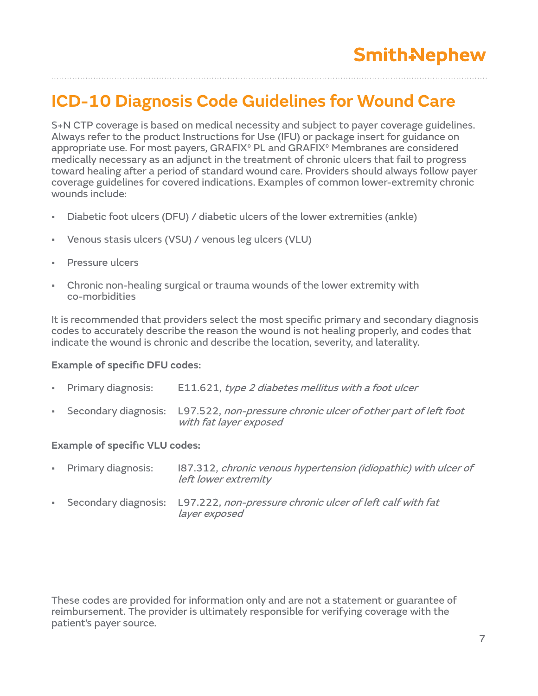### **ICD-10 Diagnosis Code Guidelines for Wound Care**

S+N CTP coverage is based on medical necessity and subject to payer coverage guidelines. Always refer to the product Instructions for Use (IFU) or package insert for guidance on appropriate use. For most payers, GRAFIX◊ PL and GRAFIX◊ Membranes are considered medically necessary as an adjunct in the treatment of chronic ulcers that fail to progress toward healing after a period of standard wound care. Providers should always follow payer coverage guidelines for covered indications. Examples of common lower-extremity chronic wounds include:

- Diabetic foot ulcers (DFU) / diabetic ulcers of the lower extremities (ankle)
- Venous stasis ulcers (VSU) / venous leg ulcers (VLU)
- Pressure ulcers
- Chronic non-healing surgical or trauma wounds of the lower extremity with co-morbidities

It is recommended that providers select the most specific primary and secondary diagnosis codes to accurately describe the reason the wound is not healing properly, and codes that indicate the wound is chronic and describe the location, severity, and laterality.

#### **Example of specific DFU codes:**

| • Primary diagnosis: | E11.621, type 2 diabetes mellitus with a foot ulcer                                                             |
|----------------------|-----------------------------------------------------------------------------------------------------------------|
|                      | - Secondary diagnosis: L97.522, non-pressure chronic ulcer of other part of left foot<br>with fat layer exposed |

#### **Example of specific VLU codes:**

|                             | • Primary diagnosis: | 187.312, chronic venous hypertension (idiopathic) with ulcer of<br>left lower extremity         |
|-----------------------------|----------------------|-------------------------------------------------------------------------------------------------|
| $\mathbf{R}^{\mathrm{max}}$ |                      | Secondary diagnosis: L97.222, non-pressure chronic ulcer of left calf with fat<br>layer exposed |

These codes are provided for information only and are not a statement or guarantee of reimbursement. The provider is ultimately responsible for verifying coverage with the patient's payer source.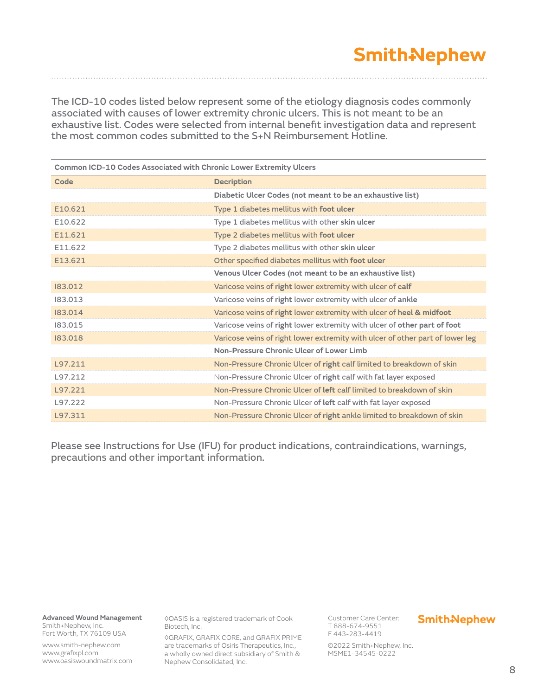The ICD-10 codes listed below represent some of the etiology diagnosis codes commonly associated with causes of lower extremity chronic ulcers. This is not meant to be an exhaustive list. Codes were selected from internal benefit investigation data and represent the most common codes submitted to the S+N Reimbursement Hotline.

| Common ICD-10 Codes Associated with Chronic Lower Extremity Ulcers |                                                                               |  |  |  |  |
|--------------------------------------------------------------------|-------------------------------------------------------------------------------|--|--|--|--|
| Code                                                               | <b>Decription</b>                                                             |  |  |  |  |
|                                                                    | Diabetic Ulcer Codes (not meant to be an exhaustive list)                     |  |  |  |  |
| E10.621                                                            | Type 1 diabetes mellitus with foot ulcer                                      |  |  |  |  |
| E10.622                                                            | Type 1 diabetes mellitus with other skin ulcer                                |  |  |  |  |
| E11.621                                                            | Type 2 diabetes mellitus with foot ulcer                                      |  |  |  |  |
| E11.622                                                            | Type 2 diabetes mellitus with other skin ulcer                                |  |  |  |  |
| E13.621                                                            | Other specified diabetes mellitus with foot ulcer                             |  |  |  |  |
|                                                                    | Venous Ulcer Codes (not meant to be an exhaustive list)                       |  |  |  |  |
| 183.012                                                            | Varicose veins of right lower extremity with ulcer of calf                    |  |  |  |  |
| 183.013                                                            | Varicose veins of right lower extremity with ulcer of ankle                   |  |  |  |  |
| 183,014                                                            | Varicose veins of right lower extremity with ulcer of heel & midfoot          |  |  |  |  |
| 183.015                                                            | Varicose veins of right lower extremity with ulcer of other part of foot      |  |  |  |  |
| 183,018                                                            | Varicose veins of right lower extremity with ulcer of other part of lower leg |  |  |  |  |
|                                                                    | Non-Pressure Chronic Ulcer of Lower Limb                                      |  |  |  |  |
| L97.211                                                            | Non-Pressure Chronic Ulcer of right calf limited to breakdown of skin         |  |  |  |  |
| L97.212                                                            | Non-Pressure Chronic Ulcer of right calf with fat layer exposed               |  |  |  |  |
| L97.221                                                            | Non-Pressure Chronic Ulcer of left calf limited to breakdown of skin          |  |  |  |  |
| L97.222                                                            | Non-Pressure Chronic Ulcer of left calf with fat layer exposed                |  |  |  |  |
| L97.311                                                            | Non-Pressure Chronic Ulcer of right ankle limited to breakdown of skin        |  |  |  |  |

Please see Instructions for Use (IFU) for product indications, contraindications, warnings, precautions and other important information.

**Advanced Wound Management**  Smith+Nephew, Inc.

Fort Worth, TX 76109 USA

www.smith-nephew.com www.grafixpl.com www.oasiswoundmatrix.com ◊OASIS is a registered trademark of Cook Biotech, Inc.

◊GRAFIX, GRAFIX CORE, and GRAFIX PRIME are trademarks of Osiris Therapeutics, Inc., a wholly owned direct subsidiary of Smith & Nephew Consolidated, Inc.

Customer Care Center: T 888-674-9551 F 443-283-4419

#### **Smith-Nephew**

©2022 Smith+Nephew, Inc. MSME1-34545-0222